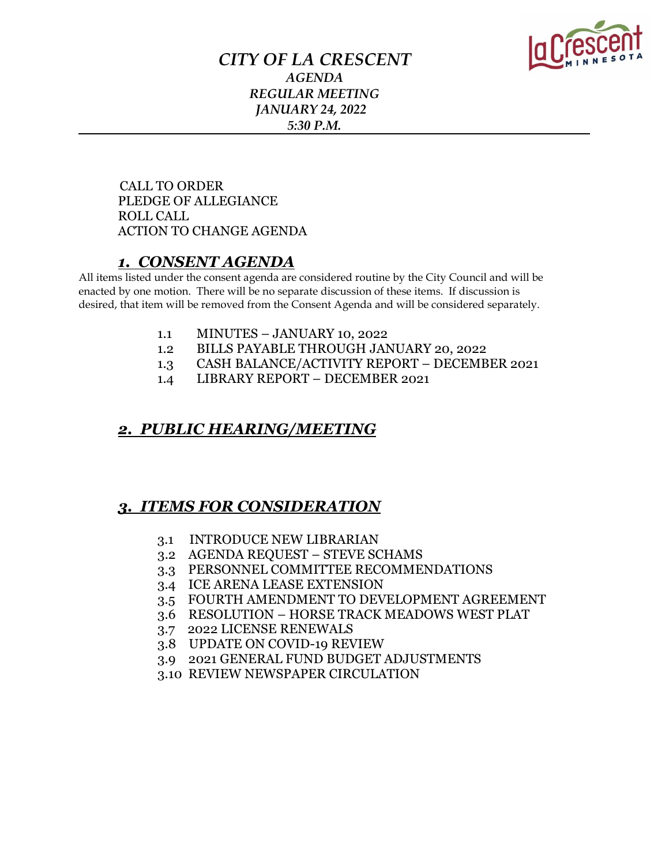

### *CITY OF LA CRESCENT AGENDA REGULAR MEETING JANUARY 24, 2022 5:30 P.M.*

 CALL TO ORDER PLEDGE OF ALLEGIANCE ROLL CALL ACTION TO CHANGE AGENDA

### *1. CONSENT AGENDA*

All items listed under the consent agenda are considered routine by the City Council and will be enacted by one motion. There will be no separate discussion of these items. If discussion is desired, that item will be removed from the Consent Agenda and will be considered separately.

- 1.1 MINUTES JANUARY 10, 2022
- 1.2 BILLS PAYABLE THROUGH JANUARY 20, 2022
- 1.3 CASH BALANCE/ACTIVITY REPORT DECEMBER 2021
- 1.4 LIBRARY REPORT DECEMBER 2021

### *2. PUBLIC HEARING/MEETING*

### *3. ITEMS FOR CONSIDERATION*

- 3.1 INTRODUCE NEW LIBRARIAN
- 3.2 AGENDA REQUEST STEVE SCHAMS
- 3.3 PERSONNEL COMMITTEE RECOMMENDATIONS
- 3.4 ICE ARENA LEASE EXTENSION
- 3.5 FOURTH AMENDMENT TO DEVELOPMENT AGREEMENT
- 3.6 RESOLUTION HORSE TRACK MEADOWS WEST PLAT
- 3.7 2022 LICENSE RENEWALS
- 3.8 UPDATE ON COVID-19 REVIEW
- 3.9 2021 GENERAL FUND BUDGET ADJUSTMENTS
- 3.10 REVIEW NEWSPAPER CIRCULATION